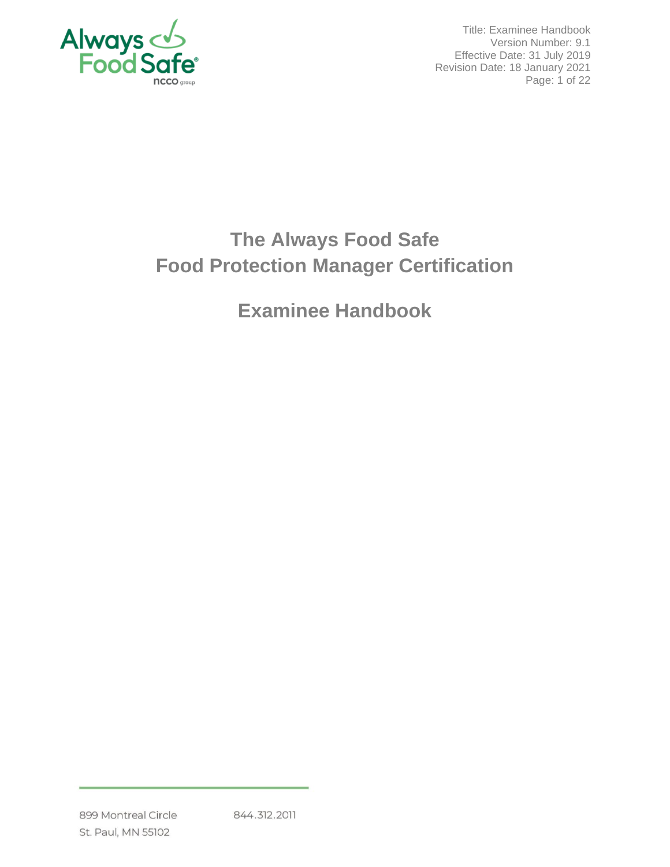

Title: Examinee Handbook Version Number: 9.1 Effective Date: 31 July 2019 Revision Date: 18 January 2021 Page: 1 of 22

# **The Always Food Safe Food Protection Manager Certification**

**Examinee Handbook**

844.312.2011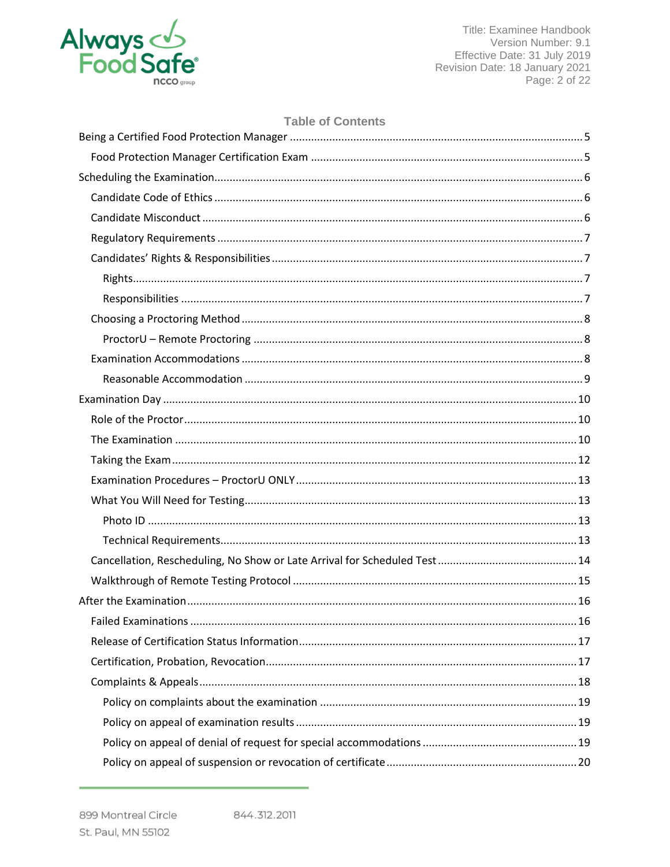

Title: Examinee Handbook Version Number: 9.1 Effective Date: 31 July 2019 Revision Date: 18 January 2021 Page: 2 of 22

# **Table of Contents**

| 16 |  |
|----|--|
|    |  |
|    |  |
|    |  |
|    |  |
|    |  |
|    |  |
|    |  |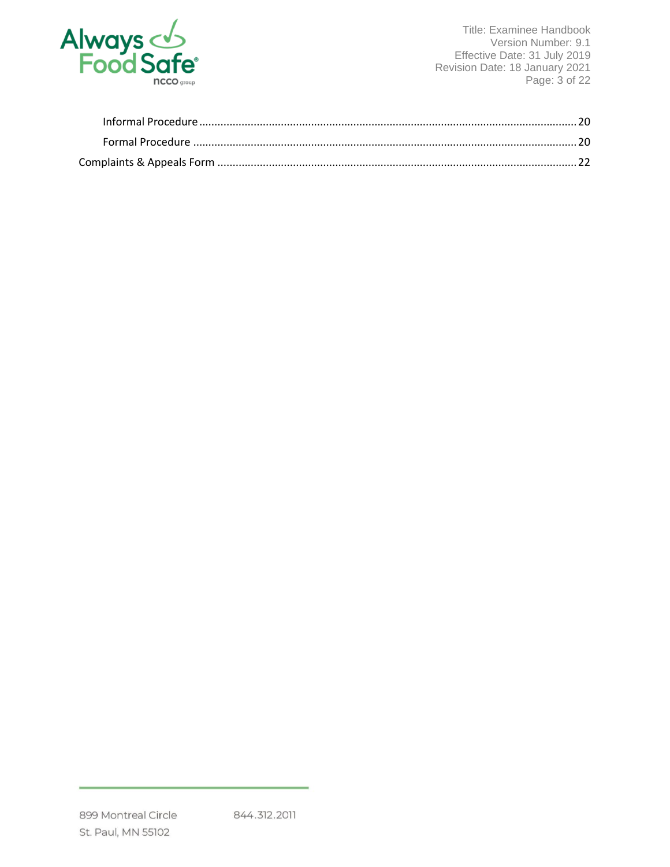

Title: Examinee Handbook Version Number: 9.1 Effective Date: 31 July 2019 Revision Date: 18 January 2021 Page: 3 of 22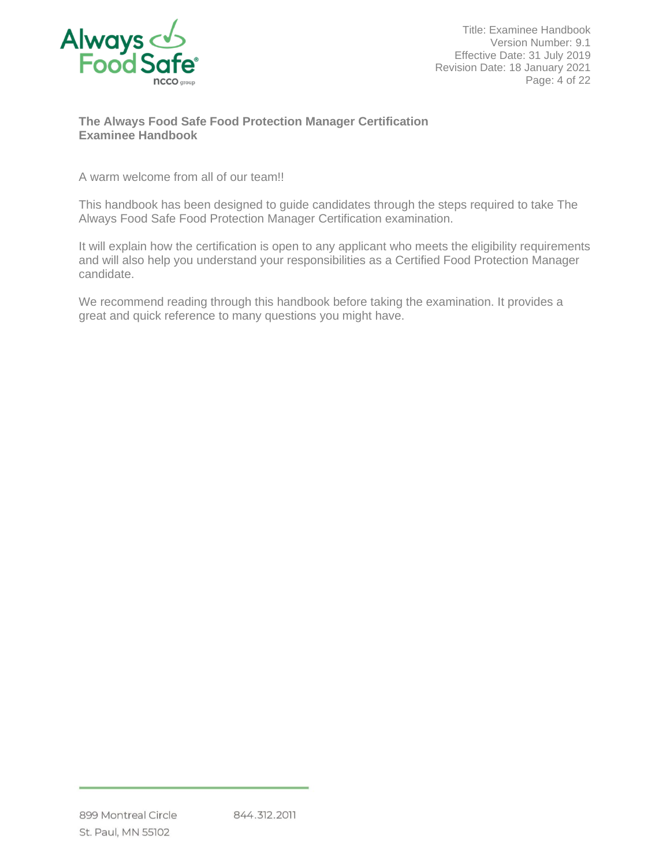

Title: Examinee Handbook Version Number: 9.1 Effective Date: 31 July 2019 Revision Date: 18 January 2021 Page: 4 of 22

# **The Always Food Safe Food Protection Manager Certification Examinee Handbook**

A warm welcome from all of our team!!

This handbook has been designed to guide candidates through the steps required to take The Always Food Safe Food Protection Manager Certification examination.

It will explain how the certification is open to any applicant who meets the eligibility requirements and will also help you understand your responsibilities as a Certified Food Protection Manager candidate.

We recommend reading through this handbook before taking the examination. It provides a great and quick reference to many questions you might have.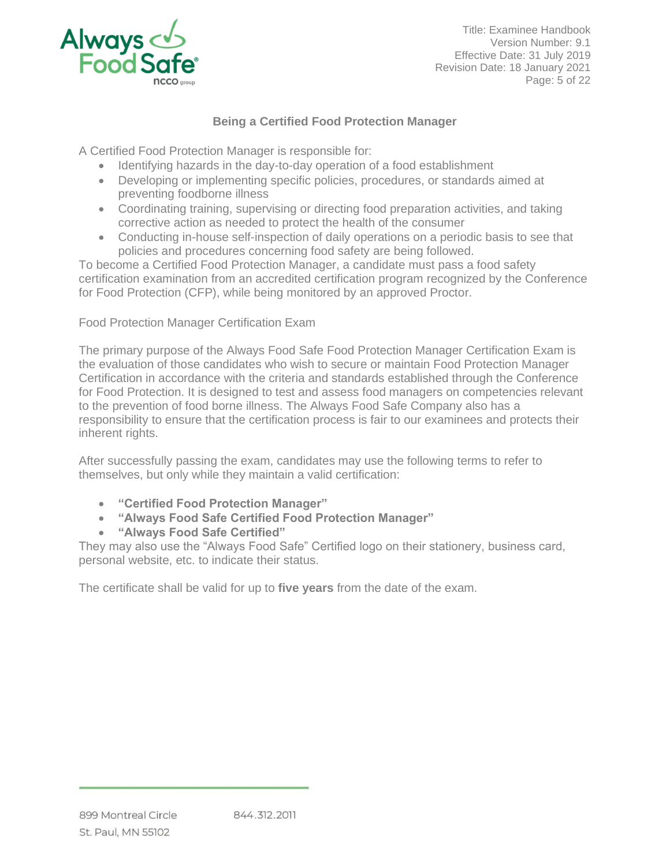

Title: Examinee Handbook Version Number: 9.1 Effective Date: 31 July 2019 Revision Date: 18 January 2021 Page: 5 of 22

# **Being a Certified Food Protection Manager**

<span id="page-4-0"></span>A Certified Food Protection Manager is responsible for:

- Identifying hazards in the day-to-day operation of a food establishment
- Developing or implementing specific policies, procedures, or standards aimed at preventing foodborne illness
- Coordinating training, supervising or directing food preparation activities, and taking corrective action as needed to protect the health of the consumer
- Conducting in-house self-inspection of daily operations on a periodic basis to see that policies and procedures concerning food safety are being followed.

To become a Certified Food Protection Manager, a candidate must pass a food safety certification examination from an accredited certification program recognized by the Conference for Food Protection (CFP), while being monitored by an approved Proctor.

<span id="page-4-1"></span>Food Protection Manager Certification Exam

The primary purpose of the Always Food Safe Food Protection Manager Certification Exam is the evaluation of those candidates who wish to secure or maintain Food Protection Manager Certification in accordance with the criteria and standards established through the Conference for Food Protection. It is designed to test and assess food managers on competencies relevant to the prevention of food borne illness. The Always Food Safe Company also has a responsibility to ensure that the certification process is fair to our examinees and protects their inherent rights.

After successfully passing the exam, candidates may use the following terms to refer to themselves, but only while they maintain a valid certification:

- **"Certified Food Protection Manager"**
- **"Always Food Safe Certified Food Protection Manager"**
- **"Always Food Safe Certified"**

They may also use the "Always Food Safe" Certified logo on their stationery, business card, personal website, etc. to indicate their status.

The certificate shall be valid for up to **five years** from the date of the exam.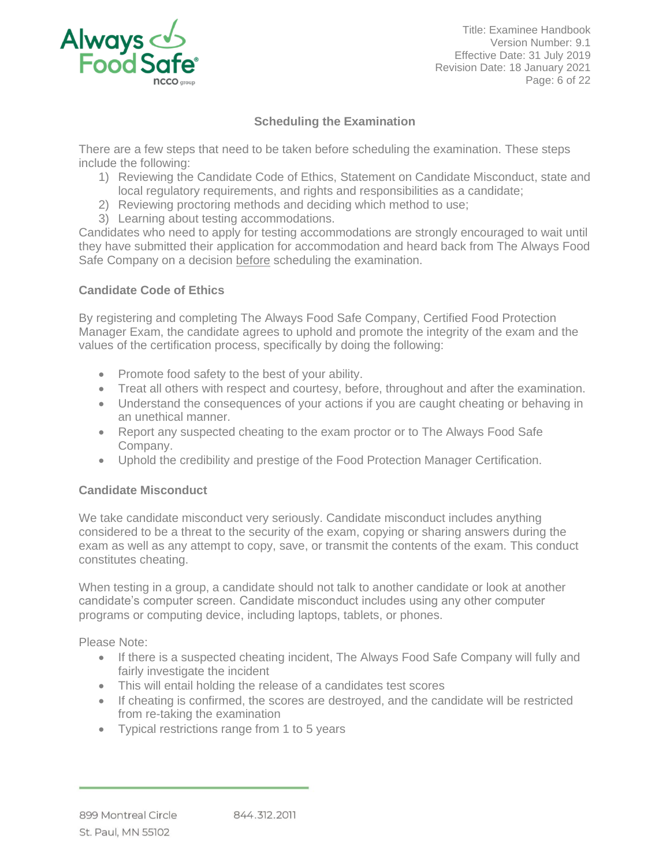

Title: Examinee Handbook Version Number: 9.1 Effective Date: 31 July 2019 Revision Date: 18 January 2021 Page: 6 of 22

# **Scheduling the Examination**

<span id="page-5-0"></span>There are a few steps that need to be taken before scheduling the examination. These steps include the following:

- 1) Reviewing the Candidate Code of Ethics, Statement on Candidate Misconduct, state and local regulatory requirements, and rights and responsibilities as a candidate;
- 2) Reviewing proctoring methods and deciding which method to use;
- 3) Learning about testing accommodations.

Candidates who need to apply for testing accommodations are strongly encouraged to wait until they have submitted their application for accommodation and heard back from The Always Food Safe Company on a decision before scheduling the examination.

# <span id="page-5-1"></span>**Candidate Code of Ethics**

By registering and completing The Always Food Safe Company, Certified Food Protection Manager Exam, the candidate agrees to uphold and promote the integrity of the exam and the values of the certification process, specifically by doing the following:

- Promote food safety to the best of your ability.
- Treat all others with respect and courtesy, before, throughout and after the examination.
- Understand the consequences of your actions if you are caught cheating or behaving in an unethical manner.
- Report any suspected cheating to the exam proctor or to The Always Food Safe Company.
- Uphold the credibility and prestige of the Food Protection Manager Certification.

# <span id="page-5-2"></span>**Candidate Misconduct**

We take candidate misconduct very seriously. Candidate misconduct includes anything considered to be a threat to the security of the exam, copying or sharing answers during the exam as well as any attempt to copy, save, or transmit the contents of the exam. This conduct constitutes cheating.

When testing in a group, a candidate should not talk to another candidate or look at another candidate's computer screen. Candidate misconduct includes using any other computer programs or computing device, including laptops, tablets, or phones.

Please Note:

- If there is a suspected cheating incident, The Always Food Safe Company will fully and fairly investigate the incident
- This will entail holding the release of a candidates test scores
- If cheating is confirmed, the scores are destroyed, and the candidate will be restricted from re-taking the examination
- Typical restrictions range from 1 to 5 years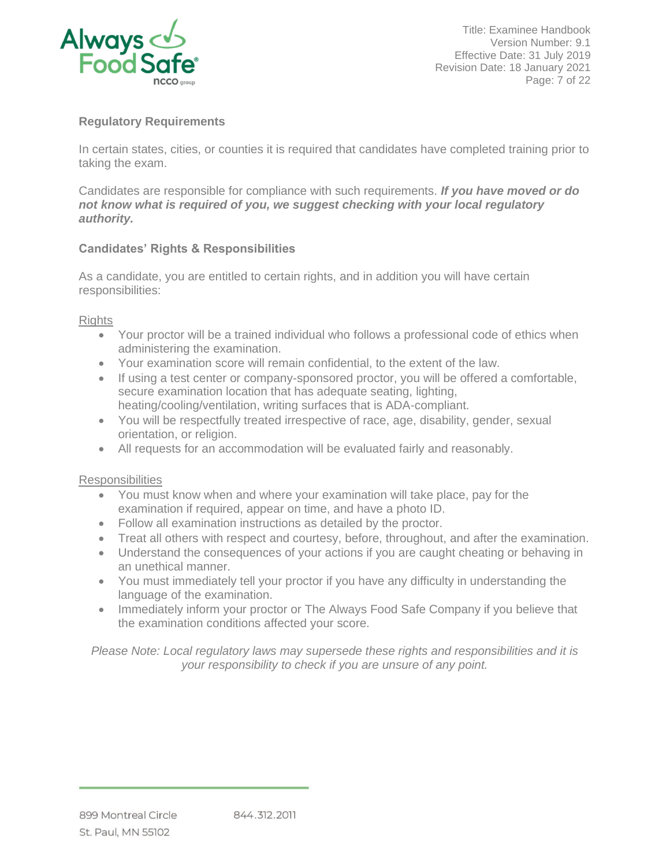

Title: Examinee Handbook Version Number: 9.1 Effective Date: 31 July 2019 Revision Date: 18 January 2021 Page: 7 of 22

# <span id="page-6-0"></span>**Regulatory Requirements**

In certain states, cities, or counties it is required that candidates have completed training prior to taking the exam.

Candidates are responsible for compliance with such requirements. *If you have moved or do not know what is required of you, we suggest checking with your local regulatory authority.*

# <span id="page-6-1"></span>**Candidates' Rights & Responsibilities**

As a candidate, you are entitled to certain rights, and in addition you will have certain responsibilities:

<span id="page-6-2"></span>**Rights** 

- Your proctor will be a trained individual who follows a professional code of ethics when administering the examination.
- Your examination score will remain confidential, to the extent of the law.
- If using a test center or company-sponsored proctor, you will be offered a comfortable, secure examination location that has adequate seating, lighting, heating/cooling/ventilation, writing surfaces that is ADA-compliant.
- You will be respectfully treated irrespective of race, age, disability, gender, sexual orientation, or religion.
- All requests for an accommodation will be evaluated fairly and reasonably.

# <span id="page-6-3"></span>**Responsibilities**

- You must know when and where your examination will take place, pay for the examination if required, appear on time, and have a photo ID.
- Follow all examination instructions as detailed by the proctor.
- Treat all others with respect and courtesy, before, throughout, and after the examination.
- Understand the consequences of your actions if you are caught cheating or behaving in an unethical manner.
- You must immediately tell your proctor if you have any difficulty in understanding the language of the examination.
- Immediately inform your proctor or The Always Food Safe Company if you believe that the examination conditions affected your score.

*Please Note: Local regulatory laws may supersede these rights and responsibilities and it is your responsibility to check if you are unsure of any point.*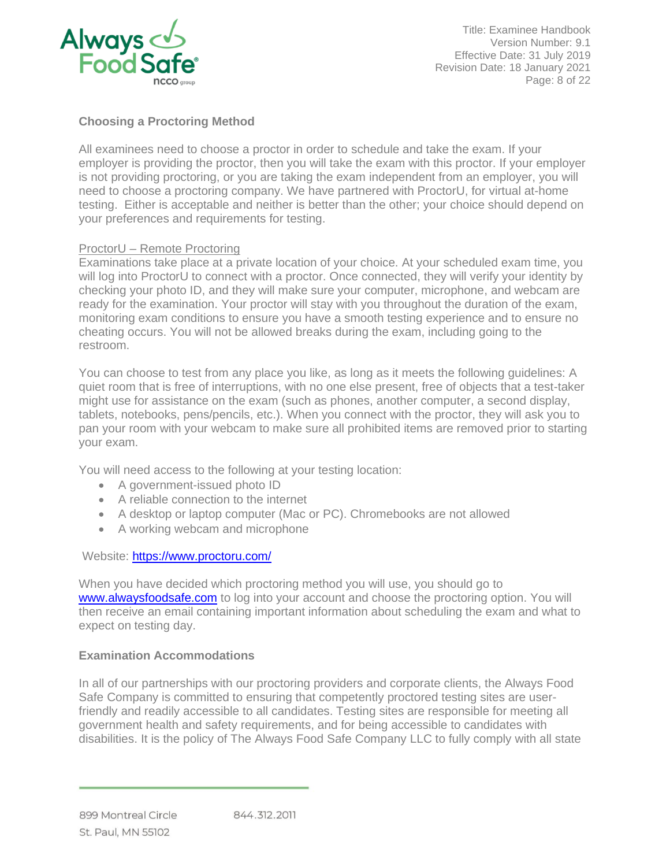

Title: Examinee Handbook Version Number: 9.1 Effective Date: 31 July 2019 Revision Date: 18 January 2021 Page: 8 of 22

# <span id="page-7-0"></span>**Choosing a Proctoring Method**

All examinees need to choose a proctor in order to schedule and take the exam. If your employer is providing the proctor, then you will take the exam with this proctor. If your employer is not providing proctoring, or you are taking the exam independent from an employer, you will need to choose a proctoring company. We have partnered with ProctorU, for virtual at-home testing. Either is acceptable and neither is better than the other; your choice should depend on your preferences and requirements for testing.

# <span id="page-7-1"></span>ProctorU – Remote Proctoring

Examinations take place at a private location of your choice. At your scheduled exam time, you will log into ProctorU to connect with a proctor. Once connected, they will verify your identity by checking your photo ID, and they will make sure your computer, microphone, and webcam are ready for the examination. Your proctor will stay with you throughout the duration of the exam, monitoring exam conditions to ensure you have a smooth testing experience and to ensure no cheating occurs. You will not be allowed breaks during the exam, including going to the restroom.

You can choose to test from any place you like, as long as it meets the following guidelines: A quiet room that is free of interruptions, with no one else present, free of objects that a test-taker might use for assistance on the exam (such as phones, another computer, a second display, tablets, notebooks, pens/pencils, etc.). When you connect with the proctor, they will ask you to pan your room with your webcam to make sure all prohibited items are removed prior to starting your exam.

You will need access to the following at your testing location:

- A government-issued photo ID
- A reliable connection to the internet
- A desktop or laptop computer (Mac or PC). Chromebooks are not allowed
- A working webcam and microphone

Website:<https://www.proctoru.com/>

When you have decided which proctoring method you will use, you should go to [www.alwaysfoodsafe.com](http://www.alwaysfoodsafe.com/) to log into your account and choose the proctoring option. You will then receive an email containing important information about scheduling the exam and what to expect on testing day.

#### <span id="page-7-2"></span>**Examination Accommodations**

In all of our partnerships with our proctoring providers and corporate clients, the Always Food Safe Company is committed to ensuring that competently proctored testing sites are userfriendly and readily accessible to all candidates. Testing sites are responsible for meeting all government health and safety requirements, and for being accessible to candidates with disabilities. It is the policy of The Always Food Safe Company LLC to fully comply with all state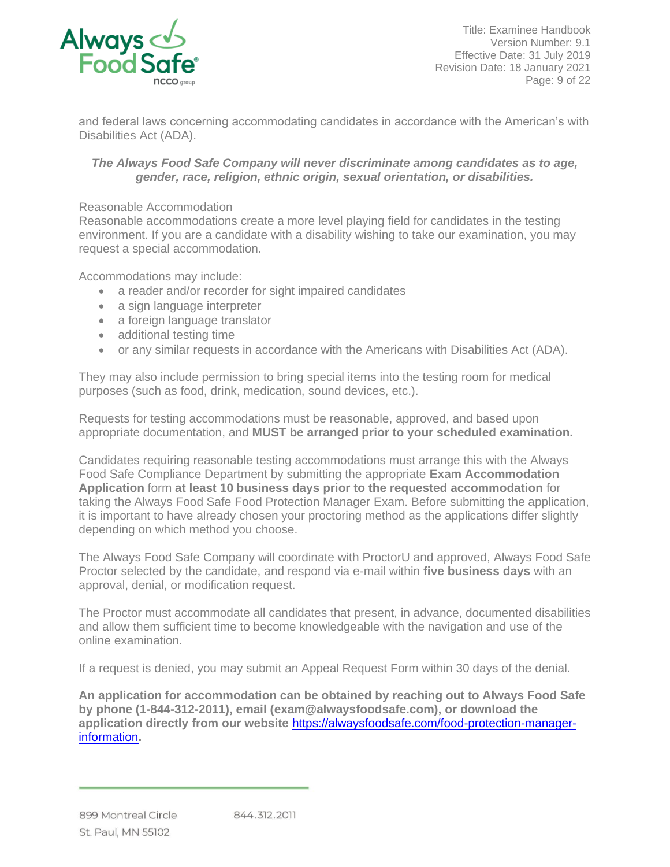

Title: Examinee Handbook Version Number: 9.1 Effective Date: 31 July 2019 Revision Date: 18 January 2021 Page: 9 of 22

and federal laws concerning accommodating candidates in accordance with the American's with Disabilities Act (ADA).

# *The Always Food Safe Company will never discriminate among candidates as to age, gender, race, religion, ethnic origin, sexual orientation, or disabilities.*

#### <span id="page-8-0"></span>Reasonable Accommodation

Reasonable accommodations create a more level playing field for candidates in the testing environment. If you are a candidate with a disability wishing to take our examination, you may request a special accommodation.

Accommodations may include:

- a reader and/or recorder for sight impaired candidates
- a sign language interpreter
- a foreign language translator
- additional testing time
- or any similar requests in accordance with the Americans with Disabilities Act (ADA).

They may also include permission to bring special items into the testing room for medical purposes (such as food, drink, medication, sound devices, etc.).

Requests for testing accommodations must be reasonable, approved, and based upon appropriate documentation, and **MUST be arranged prior to your scheduled examination.**

Candidates requiring reasonable testing accommodations must arrange this with the Always Food Safe Compliance Department by submitting the appropriate **Exam Accommodation Application** form **at least 10 business days prior to the requested accommodation** for taking the Always Food Safe Food Protection Manager Exam. Before submitting the application, it is important to have already chosen your proctoring method as the applications differ slightly depending on which method you choose.

The Always Food Safe Company will coordinate with ProctorU and approved, Always Food Safe Proctor selected by the candidate, and respond via e-mail within **five business days** with an approval, denial, or modification request.

The Proctor must accommodate all candidates that present, in advance, documented disabilities and allow them sufficient time to become knowledgeable with the navigation and use of the online examination.

If a request is denied, you may submit an Appeal Request Form within 30 days of the denial.

**An application for accommodation can be obtained by reaching out to Always Food Safe by phone (1-844-312-2011), email (exam@alwaysfoodsafe.com), or download the application directly from our website** [https://alwaysfoodsafe.com/food-protection-manager](https://alwaysfoodsafe.com/food-protection-manager-information)[information](https://alwaysfoodsafe.com/food-protection-manager-information)**.**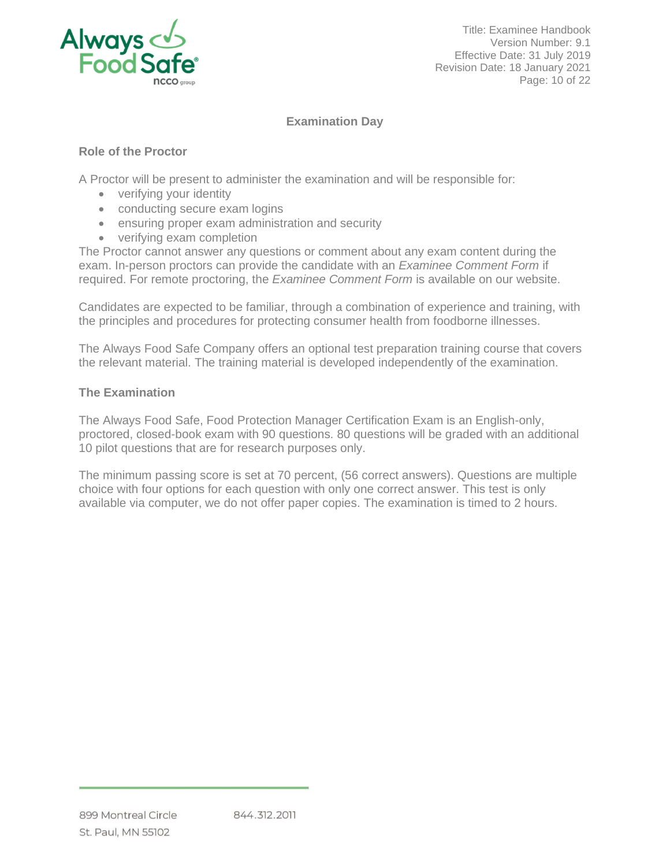

Title: Examinee Handbook Version Number: 9.1 Effective Date: 31 July 2019 Revision Date: 18 January 2021 Page: 10 of 22

# **Examination Day**

# <span id="page-9-1"></span><span id="page-9-0"></span>**Role of the Proctor**

A Proctor will be present to administer the examination and will be responsible for:

- verifying your identity
- conducting secure exam logins
- ensuring proper exam administration and security
- verifying exam completion

The Proctor cannot answer any questions or comment about any exam content during the exam. In-person proctors can provide the candidate with an *Examinee Comment Form* if required. For remote proctoring, the *Examinee Comment Form* is available on our website.

Candidates are expected to be familiar, through a combination of experience and training, with the principles and procedures for protecting consumer health from foodborne illnesses.

The Always Food Safe Company offers an optional test preparation training course that covers the relevant material. The training material is developed independently of the examination.

# <span id="page-9-2"></span>**The Examination**

The Always Food Safe, Food Protection Manager Certification Exam is an English-only, proctored, closed-book exam with 90 questions. 80 questions will be graded with an additional 10 pilot questions that are for research purposes only.

The minimum passing score is set at 70 percent, (56 correct answers). Questions are multiple choice with four options for each question with only one correct answer. This test is only available via computer, we do not offer paper copies. The examination is timed to 2 hours.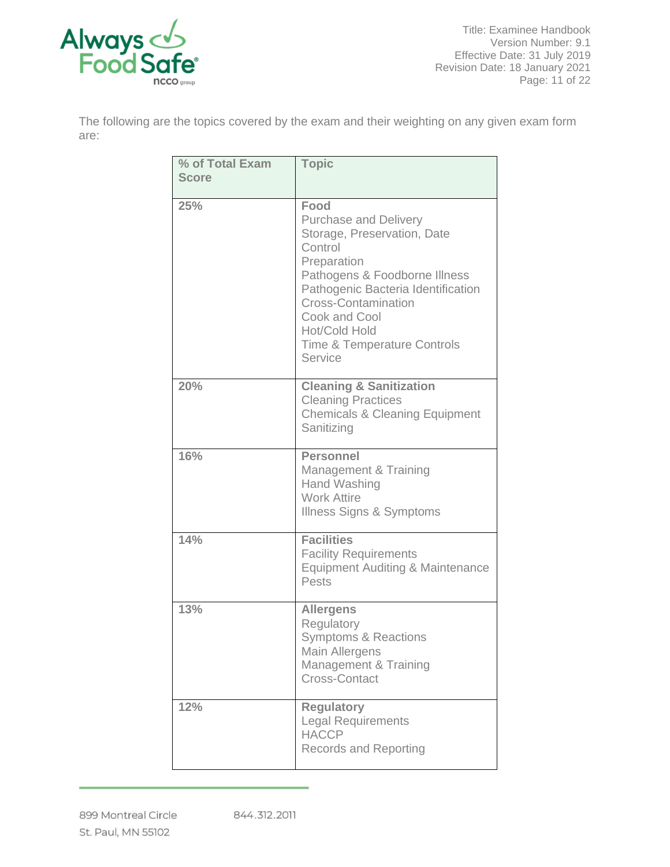

The following are the topics covered by the exam and their weighting on any given exam form are:

| % of Total Exam<br><b>Score</b> | <b>Topic</b>                                                                                                                                                                                                                                                                              |  |  |  |  |
|---------------------------------|-------------------------------------------------------------------------------------------------------------------------------------------------------------------------------------------------------------------------------------------------------------------------------------------|--|--|--|--|
|                                 |                                                                                                                                                                                                                                                                                           |  |  |  |  |
| 25%                             | Food<br><b>Purchase and Delivery</b><br>Storage, Preservation, Date<br>Control<br>Preparation<br>Pathogens & Foodborne Illness<br>Pathogenic Bacteria Identification<br><b>Cross-Contamination</b><br>Cook and Cool<br>Hot/Cold Hold<br><b>Time &amp; Temperature Controls</b><br>Service |  |  |  |  |
| 20%                             | <b>Cleaning &amp; Sanitization</b><br><b>Cleaning Practices</b><br><b>Chemicals &amp; Cleaning Equipment</b><br>Sanitizing                                                                                                                                                                |  |  |  |  |
| 16%                             | <b>Personnel</b><br>Management & Training<br>Hand Washing<br><b>Work Attire</b><br><b>Illness Signs &amp; Symptoms</b>                                                                                                                                                                    |  |  |  |  |
| 14%                             | <b>Facilities</b><br><b>Facility Requirements</b><br><b>Equipment Auditing &amp; Maintenance</b><br>Pests                                                                                                                                                                                 |  |  |  |  |
| 13%                             | <b>Allergens</b><br>Regulatory<br><b>Symptoms &amp; Reactions</b><br>Main Allergens<br>Management & Training<br><b>Cross-Contact</b>                                                                                                                                                      |  |  |  |  |
| 12%                             | <b>Regulatory</b><br><b>Legal Requirements</b><br><b>HACCP</b><br><b>Records and Reporting</b>                                                                                                                                                                                            |  |  |  |  |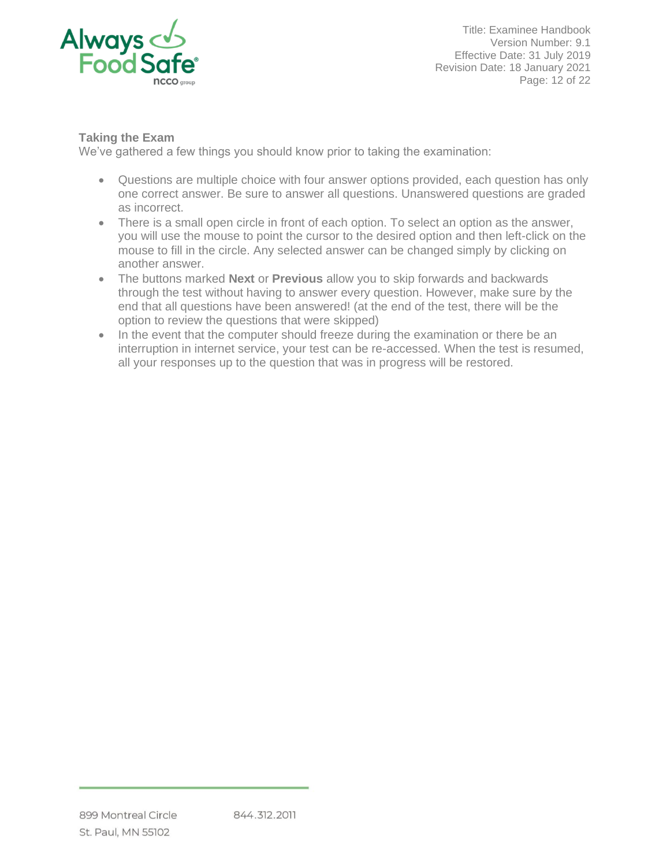

Title: Examinee Handbook Version Number: 9.1 Effective Date: 31 July 2019 Revision Date: 18 January 2021 Page: 12 of 22

# <span id="page-11-0"></span>**Taking the Exam**

We've gathered a few things you should know prior to taking the examination:

- Questions are multiple choice with four answer options provided, each question has only one correct answer. Be sure to answer all questions. Unanswered questions are graded as incorrect.
- There is a small open circle in front of each option. To select an option as the answer, you will use the mouse to point the cursor to the desired option and then left-click on the mouse to fill in the circle. Any selected answer can be changed simply by clicking on another answer.
- The buttons marked **Next** or **Previous** allow you to skip forwards and backwards through the test without having to answer every question. However, make sure by the end that all questions have been answered! (at the end of the test, there will be the option to review the questions that were skipped)
- In the event that the computer should freeze during the examination or there be an interruption in internet service, your test can be re-accessed. When the test is resumed, all your responses up to the question that was in progress will be restored.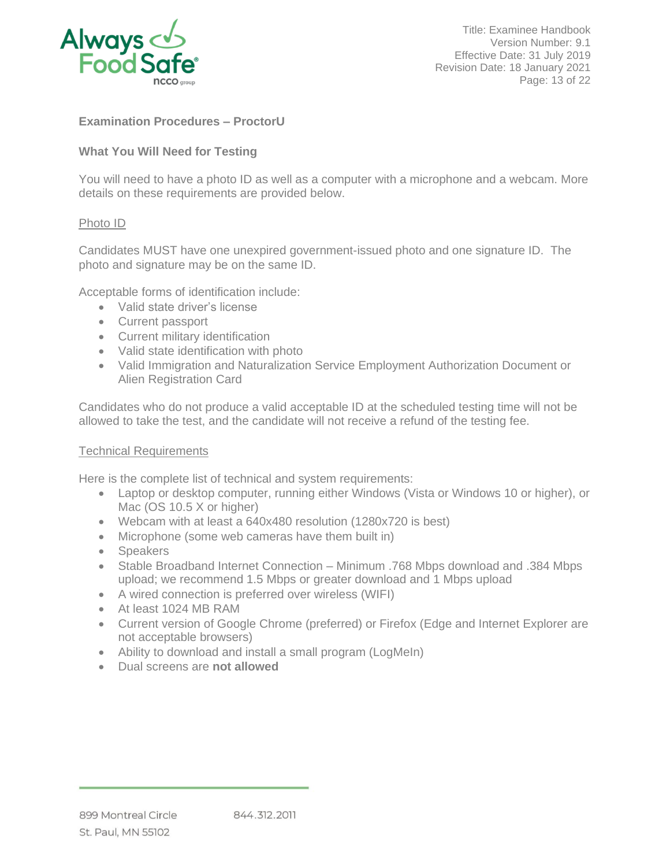

Title: Examinee Handbook Version Number: 9.1 Effective Date: 31 July 2019 Revision Date: 18 January 2021 Page: 13 of 22

# <span id="page-12-0"></span>**Examination Procedures – ProctorU**

# <span id="page-12-1"></span>**What You Will Need for Testing**

You will need to have a photo ID as well as a computer with a microphone and a webcam. More details on these requirements are provided below.

#### <span id="page-12-2"></span>Photo ID

Candidates MUST have one unexpired government-issued photo and one signature ID. The photo and signature may be on the same ID.

Acceptable forms of identification include:

- Valid state driver's license
- Current passport
- Current military identification
- Valid state identification with photo
- Valid Immigration and Naturalization Service Employment Authorization Document or Alien Registration Card

Candidates who do not produce a valid acceptable ID at the scheduled testing time will not be allowed to take the test, and the candidate will not receive a refund of the testing fee.

#### <span id="page-12-3"></span>Technical Requirements

Here is the complete list of technical and system requirements:

- Laptop or desktop computer, running either Windows (Vista or Windows 10 or higher), or Mac (OS 10.5 X or higher)
- Webcam with at least a 640x480 resolution (1280x720 is best)
- Microphone (some web cameras have them built in)
- Speakers
- Stable Broadband Internet Connection Minimum .768 Mbps download and .384 Mbps upload; we recommend 1.5 Mbps or greater download and 1 Mbps upload
- A wired connection is preferred over wireless (WIFI)
- At least 1024 MB RAM
- Current version of Google Chrome (preferred) or Firefox (Edge and Internet Explorer are not acceptable browsers)
- Ability to download and install a small program (LogMeIn)
- Dual screens are **not allowed**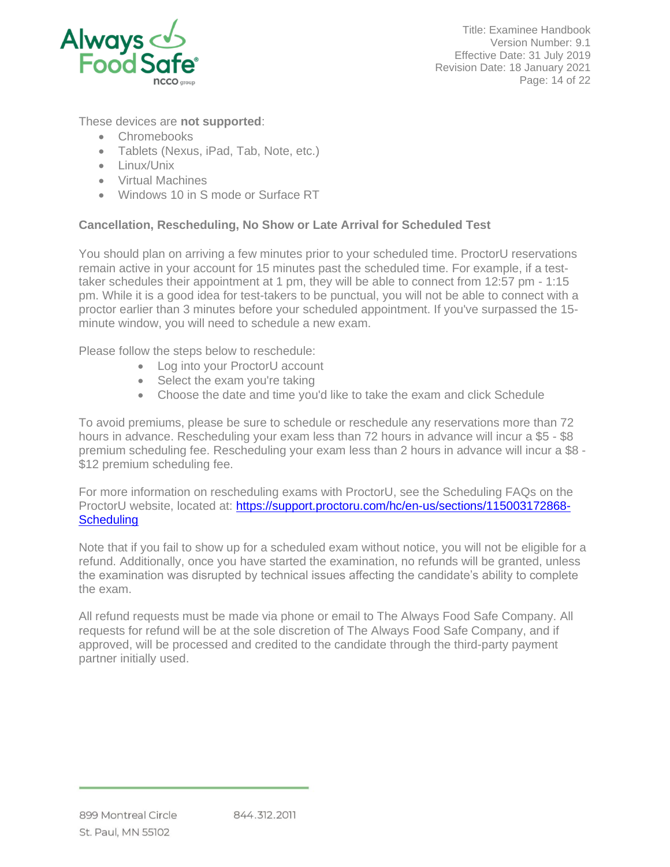

Title: Examinee Handbook Version Number: 9.1 Effective Date: 31 July 2019 Revision Date: 18 January 2021 Page: 14 of 22

# These devices are **not supported**:

- Chromebooks
- Tablets (Nexus, iPad, Tab, Note, etc.)
- Linux/Unix
- Virtual Machines
- Windows 10 in S mode or Surface RT

# <span id="page-13-0"></span>**Cancellation, Rescheduling, No Show or Late Arrival for Scheduled Test**

You should plan on arriving a few minutes prior to your scheduled time. ProctorU reservations remain active in your account for 15 minutes past the scheduled time. For example, if a testtaker schedules their appointment at 1 pm, they will be able to connect from 12:57 pm - 1:15 pm. While it is a good idea for test-takers to be punctual, you will not be able to connect with a proctor earlier than 3 minutes before your scheduled appointment. If you've surpassed the 15 minute window, you will need to schedule a new exam.

Please follow the steps below to reschedule:

- Log into your ProctorU account
- Select the exam you're taking
- Choose the date and time you'd like to take the exam and click Schedule

To avoid premiums, please be sure to schedule or reschedule any reservations more than 72 hours in advance. Rescheduling your exam less than 72 hours in advance will incur a \$5 - \$8 premium scheduling fee. Rescheduling your exam less than 2 hours in advance will incur a \$8 - \$12 premium scheduling fee.

For more information on rescheduling exams with ProctorU, see the Scheduling FAQs on the ProctorU website, located at: [https://support.proctoru.com/hc/en-us/sections/115003172868-](https://support.proctoru.com/hc/en-us/sections/115003172868-Scheduling) **[Scheduling](https://support.proctoru.com/hc/en-us/sections/115003172868-Scheduling)** 

Note that if you fail to show up for a scheduled exam without notice, you will not be eligible for a refund. Additionally, once you have started the examination, no refunds will be granted, unless the examination was disrupted by technical issues affecting the candidate's ability to complete the exam.

All refund requests must be made via phone or email to The Always Food Safe Company. All requests for refund will be at the sole discretion of The Always Food Safe Company, and if approved, will be processed and credited to the candidate through the third-party payment partner initially used.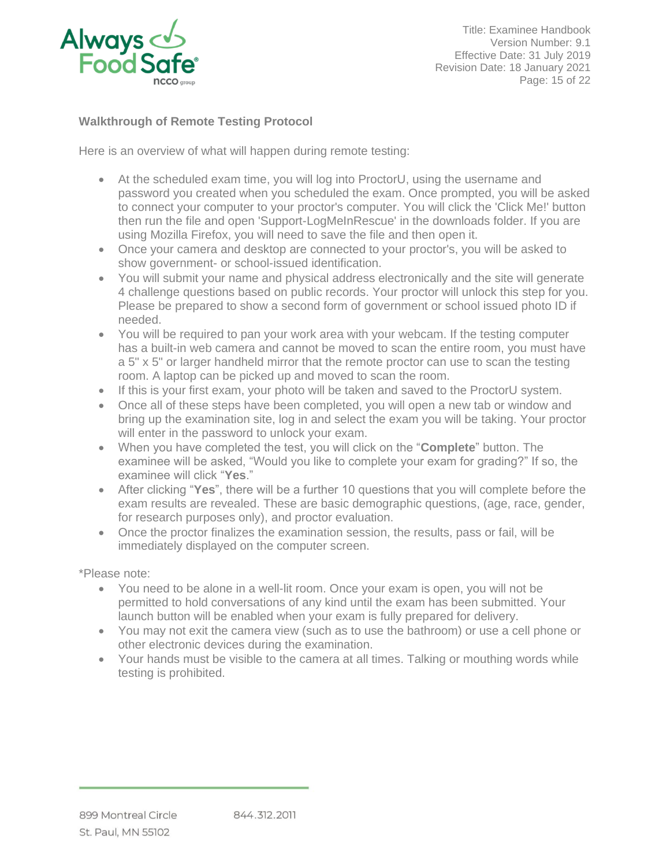

Title: Examinee Handbook Version Number: 9.1 Effective Date: 31 July 2019 Revision Date: 18 January 2021 Page: 15 of 22

# <span id="page-14-0"></span>**Walkthrough of Remote Testing Protocol**

Here is an overview of what will happen during remote testing:

- At the scheduled exam time, you will log into ProctorU, using the username and password you created when you scheduled the exam. Once prompted, you will be asked to connect your computer to your proctor's computer. You will click the 'Click Me!' button then run the file and open 'Support-LogMeInRescue' in the downloads folder. If you are using Mozilla Firefox, you will need to save the file and then open it.
- Once your camera and desktop are connected to your proctor's, you will be asked to show government- or school-issued identification.
- You will submit your name and physical address electronically and the site will generate 4 challenge questions based on public records. Your proctor will unlock this step for you. Please be prepared to show a second form of government or school issued photo ID if needed.
- You will be required to pan your work area with your webcam. If the testing computer has a built-in web camera and cannot be moved to scan the entire room, you must have a 5" x 5" or larger handheld mirror that the remote proctor can use to scan the testing room. A laptop can be picked up and moved to scan the room.
- If this is your first exam, your photo will be taken and saved to the ProctorU system.
- Once all of these steps have been completed, you will open a new tab or window and bring up the examination site, log in and select the exam you will be taking. Your proctor will enter in the password to unlock your exam.
- When you have completed the test, you will click on the "**Complete**" button. The examinee will be asked, "Would you like to complete your exam for grading?" If so, the examinee will click "**Yes**."
- After clicking "**Yes**", there will be a further 10 questions that you will complete before the exam results are revealed. These are basic demographic questions, (age, race, gender, for research purposes only), and proctor evaluation.
- Once the proctor finalizes the examination session, the results, pass or fail, will be immediately displayed on the computer screen.

\*Please note:

- You need to be alone in a well-lit room. Once your exam is open, you will not be permitted to hold conversations of any kind until the exam has been submitted. Your launch button will be enabled when your exam is fully prepared for delivery.
- You may not exit the camera view (such as to use the bathroom) or use a cell phone or other electronic devices during the examination.
- Your hands must be visible to the camera at all times. Talking or mouthing words while testing is prohibited.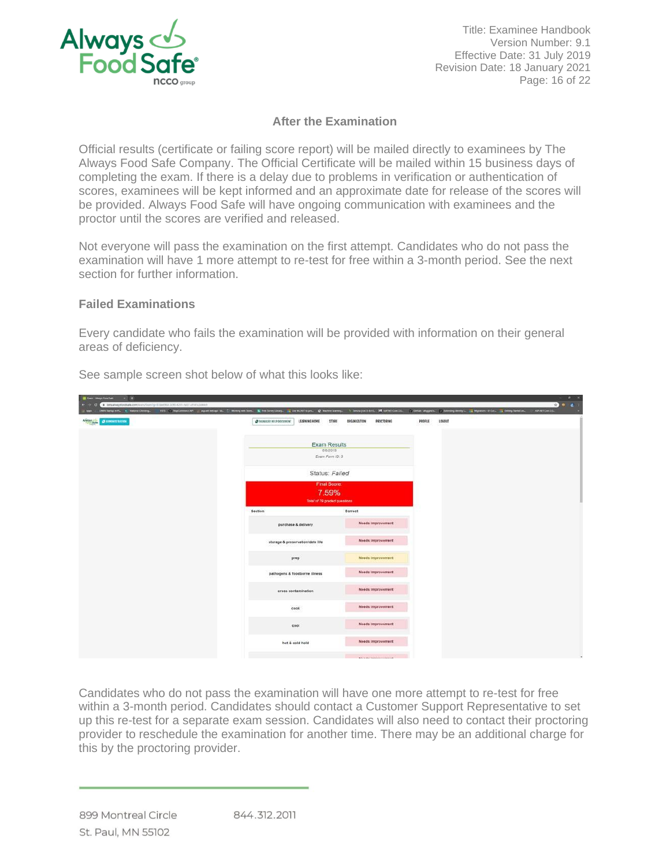

Title: Examinee Handbook Version Number: 9.1 Effective Date: 31 July 2019 Revision Date: 18 January 2021 Page: 16 of 22

# **After the Examination**

<span id="page-15-0"></span>Official results (certificate or failing score report) will be mailed directly to examinees by The Always Food Safe Company. The Official Certificate will be mailed within 15 business days of completing the exam. If there is a delay due to problems in verification or authentication of scores, examinees will be kept informed and an approximate date for release of the scores will be provided. Always Food Safe will have ongoing communication with examinees and the proctor until the scores are verified and released.

Not everyone will pass the examination on the first attempt. Candidates who do not pass the examination will have 1 more attempt to re-test for free within a 3-month period. See the next section for further information.

### <span id="page-15-1"></span>**Failed Examinations**

Every candidate who fails the examination will be provided with information on their general areas of deficiency.

| <b>E. Exerc - Margo Ford Tale</b><br>$-1$                                                                                             |                                                                                                                                                                                                                                |                            |                   | $ 0$ $\times$            |
|---------------------------------------------------------------------------------------------------------------------------------------|--------------------------------------------------------------------------------------------------------------------------------------------------------------------------------------------------------------------------------|----------------------------|-------------------|--------------------------|
| Contract & beautosystocharacom/aum/bumly-61qu066-3/90-4201-9a17-chirts/ssien<br>OWN Startup in PL. National Checking<br><b>States</b> | VIS Charlement Countering L. C. Weing on Sec., E. Secherre Liney, L. Sec. M. M. M. Letter Lewis, S. Sechs Letter Letter L. C. Colle August., C. Leading Memph., C. Maynews, U.S. College State L. C. L. College State Letter L |                            |                   | 20121<br>ASPART Cow 2.0. |
| APPROVAL OR AUSTRALION                                                                                                                | @ MANAGER HELP DOCUMENT<br>LEARNING HOME<br>STORE                                                                                                                                                                              | ORGANIZATION<br>PROCTORING | LOGOUT<br>PROFILE |                          |
|                                                                                                                                       |                                                                                                                                                                                                                                |                            |                   |                          |
|                                                                                                                                       | <b>Exam Results</b>                                                                                                                                                                                                            |                            |                   |                          |
|                                                                                                                                       | 8/8/2019<br>Exam Form ID: 3                                                                                                                                                                                                    |                            |                   |                          |
|                                                                                                                                       | Status: Failed                                                                                                                                                                                                                 |                            |                   |                          |
|                                                                                                                                       | <b>Final Score:</b>                                                                                                                                                                                                            |                            |                   |                          |
|                                                                                                                                       | 7.59%                                                                                                                                                                                                                          |                            |                   |                          |
|                                                                                                                                       | Total of 79 graded questions                                                                                                                                                                                                   |                            |                   |                          |
|                                                                                                                                       | Section                                                                                                                                                                                                                        | Correct                    |                   |                          |
|                                                                                                                                       | purchase & delivery                                                                                                                                                                                                            | <b>Needs Improvement</b>   |                   |                          |
|                                                                                                                                       | storage & preservation/date life                                                                                                                                                                                               | Needs Improvement          |                   |                          |
|                                                                                                                                       | prep                                                                                                                                                                                                                           | Needs Improvement          |                   |                          |
|                                                                                                                                       | pathogens & foodborne illness                                                                                                                                                                                                  | <b>Needs Improvement</b>   |                   |                          |
|                                                                                                                                       | cross contamination                                                                                                                                                                                                            | <b>Needs Improvement</b>   |                   |                          |
|                                                                                                                                       | cook                                                                                                                                                                                                                           | Needs Improvement          |                   |                          |
|                                                                                                                                       | cool                                                                                                                                                                                                                           | Needs Improvement          |                   |                          |
|                                                                                                                                       | hot & cold hold                                                                                                                                                                                                                | Needs Improvement          |                   |                          |
|                                                                                                                                       |                                                                                                                                                                                                                                | Manda topicalling and      |                   | $\bullet$                |

See sample screen shot below of what this looks like:

Candidates who do not pass the examination will have one more attempt to re-test for free within a 3-month period. Candidates should contact a Customer Support Representative to set up this re-test for a separate exam session. Candidates will also need to contact their proctoring provider to reschedule the examination for another time. There may be an additional charge for this by the proctoring provider.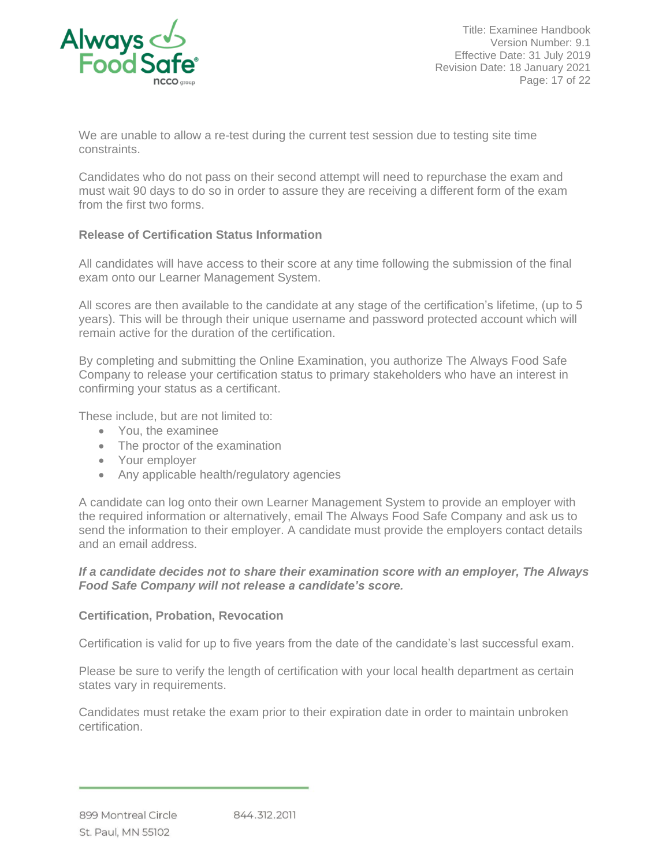

Title: Examinee Handbook Version Number: 9.1 Effective Date: 31 July 2019 Revision Date: 18 January 2021 Page: 17 of 22

We are unable to allow a re-test during the current test session due to testing site time constraints.

Candidates who do not pass on their second attempt will need to repurchase the exam and must wait 90 days to do so in order to assure they are receiving a different form of the exam from the first two forms.

# <span id="page-16-0"></span>**Release of Certification Status Information**

All candidates will have access to their score at any time following the submission of the final exam onto our Learner Management System.

All scores are then available to the candidate at any stage of the certification's lifetime, (up to 5 years). This will be through their unique username and password protected account which will remain active for the duration of the certification.

By completing and submitting the Online Examination, you authorize The Always Food Safe Company to release your certification status to primary stakeholders who have an interest in confirming your status as a certificant.

These include, but are not limited to:

- You, the examinee
- The proctor of the examination
- Your employer
- Any applicable health/regulatory agencies

A candidate can log onto their own Learner Management System to provide an employer with the required information or alternatively, email The Always Food Safe Company and ask us to send the information to their employer. A candidate must provide the employers contact details and an email address.

#### *If a candidate decides not to share their examination score with an employer, The Always Food Safe Company will not release a candidate's score.*

#### <span id="page-16-1"></span>**Certification, Probation, Revocation**

Certification is valid for up to five years from the date of the candidate's last successful exam.

Please be sure to verify the length of certification with your local health department as certain states vary in requirements.

Candidates must retake the exam prior to their expiration date in order to maintain unbroken certification.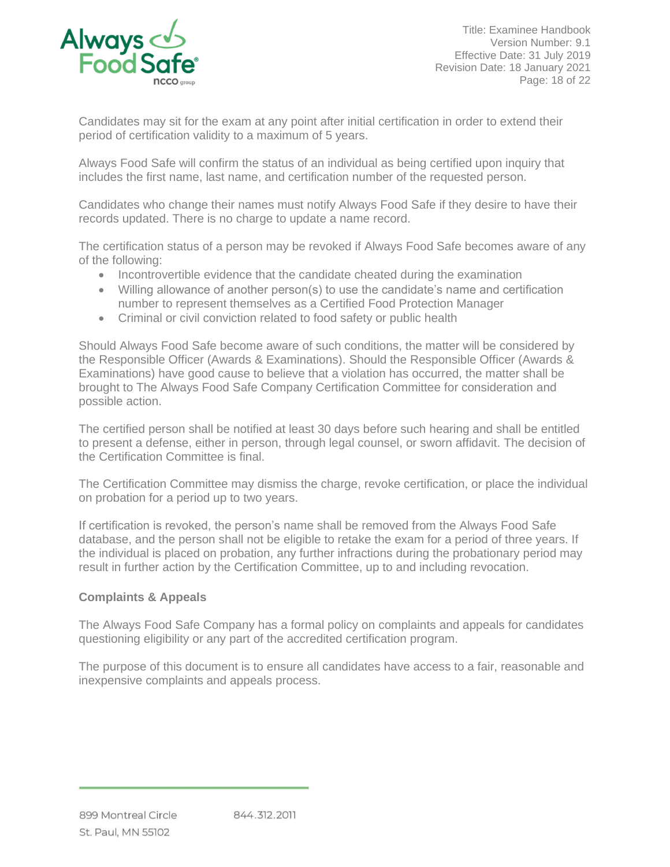

Title: Examinee Handbook Version Number: 9.1 Effective Date: 31 July 2019 Revision Date: 18 January 2021 Page: 18 of 22

Candidates may sit for the exam at any point after initial certification in order to extend their period of certification validity to a maximum of 5 years.

Always Food Safe will confirm the status of an individual as being certified upon inquiry that includes the first name, last name, and certification number of the requested person.

Candidates who change their names must notify Always Food Safe if they desire to have their records updated. There is no charge to update a name record.

The certification status of a person may be revoked if Always Food Safe becomes aware of any of the following:

- Incontrovertible evidence that the candidate cheated during the examination
- Willing allowance of another person(s) to use the candidate's name and certification number to represent themselves as a Certified Food Protection Manager
- Criminal or civil conviction related to food safety or public health

Should Always Food Safe become aware of such conditions, the matter will be considered by the Responsible Officer (Awards & Examinations). Should the Responsible Officer (Awards & Examinations) have good cause to believe that a violation has occurred, the matter shall be brought to The Always Food Safe Company Certification Committee for consideration and possible action.

The certified person shall be notified at least 30 days before such hearing and shall be entitled to present a defense, either in person, through legal counsel, or sworn affidavit. The decision of the Certification Committee is final.

The Certification Committee may dismiss the charge, revoke certification, or place the individual on probation for a period up to two years.

If certification is revoked, the person's name shall be removed from the Always Food Safe database, and the person shall not be eligible to retake the exam for a period of three years. If the individual is placed on probation, any further infractions during the probationary period may result in further action by the Certification Committee, up to and including revocation.

#### <span id="page-17-0"></span>**Complaints & Appeals**

The Always Food Safe Company has a formal policy on complaints and appeals for candidates questioning eligibility or any part of the accredited certification program.

The purpose of this document is to ensure all candidates have access to a fair, reasonable and inexpensive complaints and appeals process.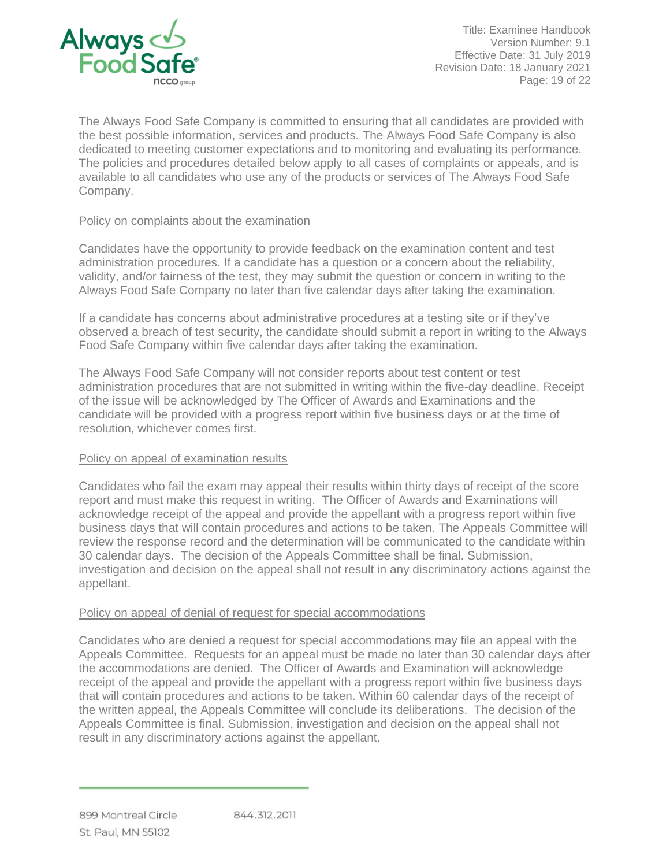

Title: Examinee Handbook Version Number: 9.1 Effective Date: 31 July 2019 Revision Date: 18 January 2021 Page: 19 of 22

The Always Food Safe Company is committed to ensuring that all candidates are provided with the best possible information, services and products. The Always Food Safe Company is also dedicated to meeting customer expectations and to monitoring and evaluating its performance. The policies and procedures detailed below apply to all cases of complaints or appeals, and is available to all candidates who use any of the products or services of The Always Food Safe Company.

### <span id="page-18-0"></span>Policy on complaints about the examination

Candidates have the opportunity to provide feedback on the examination content and test administration procedures. If a candidate has a question or a concern about the reliability, validity, and/or fairness of the test, they may submit the question or concern in writing to the Always Food Safe Company no later than five calendar days after taking the examination.

If a candidate has concerns about administrative procedures at a testing site or if they've observed a breach of test security, the candidate should submit a report in writing to the Always Food Safe Company within five calendar days after taking the examination.

The Always Food Safe Company will not consider reports about test content or test administration procedures that are not submitted in writing within the five-day deadline. Receipt of the issue will be acknowledged by The Officer of Awards and Examinations and the candidate will be provided with a progress report within five business days or at the time of resolution, whichever comes first.

#### <span id="page-18-1"></span>Policy on appeal of examination results

Candidates who fail the exam may appeal their results within thirty days of receipt of the score report and must make this request in writing. The Officer of Awards and Examinations will acknowledge receipt of the appeal and provide the appellant with a progress report within five business days that will contain procedures and actions to be taken. The Appeals Committee will review the response record and the determination will be communicated to the candidate within 30 calendar days. The decision of the Appeals Committee shall be final. Submission, investigation and decision on the appeal shall not result in any discriminatory actions against the appellant.

#### <span id="page-18-2"></span>Policy on appeal of denial of request for special accommodations

Candidates who are denied a request for special accommodations may file an appeal with the Appeals Committee. Requests for an appeal must be made no later than 30 calendar days after the accommodations are denied. The Officer of Awards and Examination will acknowledge receipt of the appeal and provide the appellant with a progress report within five business days that will contain procedures and actions to be taken. Within 60 calendar days of the receipt of the written appeal, the Appeals Committee will conclude its deliberations. The decision of the Appeals Committee is final. Submission, investigation and decision on the appeal shall not result in any discriminatory actions against the appellant.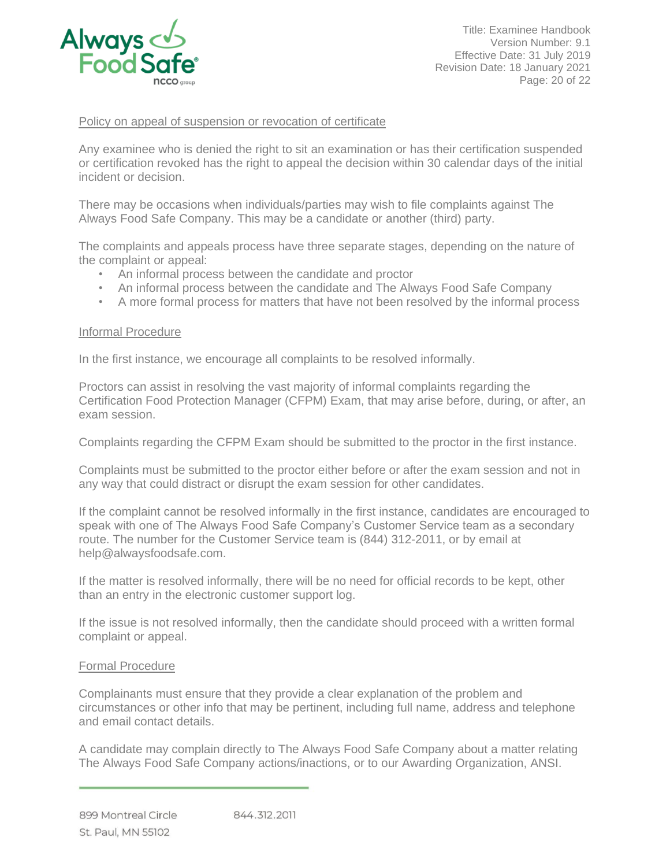

Title: Examinee Handbook Version Number: 9.1 Effective Date: 31 July 2019 Revision Date: 18 January 2021 Page: 20 of 22

#### <span id="page-19-0"></span>Policy on appeal of suspension or revocation of certificate

Any examinee who is denied the right to sit an examination or has their certification suspended or certification revoked has the right to appeal the decision within 30 calendar days of the initial incident or decision.

There may be occasions when individuals/parties may wish to file complaints against The Always Food Safe Company. This may be a candidate or another (third) party.

The complaints and appeals process have three separate stages, depending on the nature of the complaint or appeal:

- An informal process between the candidate and proctor
- An informal process between the candidate and The Always Food Safe Company
- A more formal process for matters that have not been resolved by the informal process

#### <span id="page-19-1"></span>Informal Procedure

In the first instance, we encourage all complaints to be resolved informally.

Proctors can assist in resolving the vast majority of informal complaints regarding the Certification Food Protection Manager (CFPM) Exam, that may arise before, during, or after, an exam session.

Complaints regarding the CFPM Exam should be submitted to the proctor in the first instance.

Complaints must be submitted to the proctor either before or after the exam session and not in any way that could distract or disrupt the exam session for other candidates.

If the complaint cannot be resolved informally in the first instance, candidates are encouraged to speak with one of The Always Food Safe Company's Customer Service team as a secondary route. The number for the Customer Service team is (844) 312-2011, or by email at help@alwaysfoodsafe.com.

If the matter is resolved informally, there will be no need for official records to be kept, other than an entry in the electronic customer support log.

If the issue is not resolved informally, then the candidate should proceed with a written formal complaint or appeal.

#### <span id="page-19-2"></span>Formal Procedure

Complainants must ensure that they provide a clear explanation of the problem and circumstances or other info that may be pertinent, including full name, address and telephone and email contact details.

A candidate may complain directly to The Always Food Safe Company about a matter relating The Always Food Safe Company actions/inactions, or to our Awarding Organization, ANSI.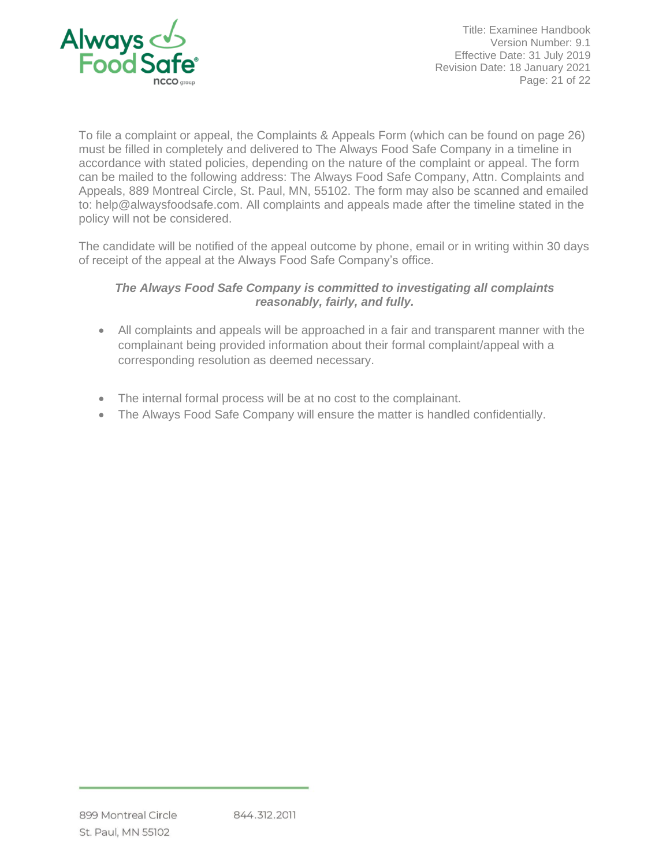

Title: Examinee Handbook Version Number: 9.1 Effective Date: 31 July 2019 Revision Date: 18 January 2021 Page: 21 of 22

To file a complaint or appeal, the Complaints & Appeals Form (which can be found on page 26) must be filled in completely and delivered to The Always Food Safe Company in a timeline in accordance with stated policies, depending on the nature of the complaint or appeal. The form can be mailed to the following address: The Always Food Safe Company, Attn. Complaints and Appeals, 889 Montreal Circle, St. Paul, MN, 55102. The form may also be scanned and emailed to: help@alwaysfoodsafe.com. All complaints and appeals made after the timeline stated in the policy will not be considered.

The candidate will be notified of the appeal outcome by phone, email or in writing within 30 days of receipt of the appeal at the Always Food Safe Company's office.

# *The Always Food Safe Company is committed to investigating all complaints reasonably, fairly, and fully.*

- All complaints and appeals will be approached in a fair and transparent manner with the complainant being provided information about their formal complaint/appeal with a corresponding resolution as deemed necessary.
- The internal formal process will be at no cost to the complainant.
- The Always Food Safe Company will ensure the matter is handled confidentially.